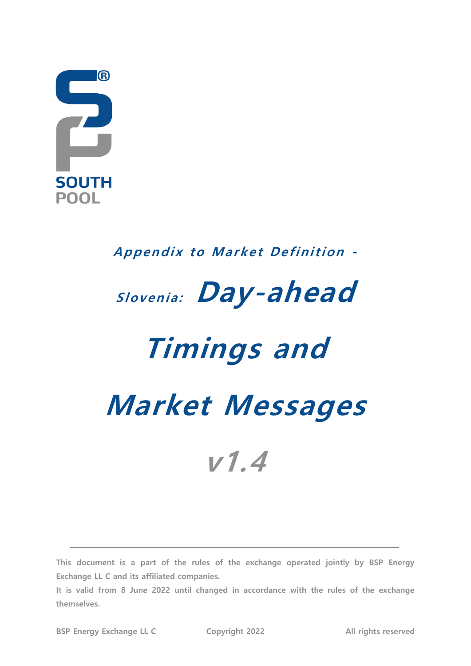

## **Appendix to Market Definition -**

# **Sl <sup>o</sup> <sup>v</sup> <sup>e</sup> ni a: Day-ahead Timings and Market Messages**

**v1.4**

**This document is a part of the rules of the exchange operated jointly by BSP Energy Exchange LL C and its affiliated companies.**

**It is valid from 8 June 2022 until changed in accordance with the rules of the exchange themselves.**

**BSP Energy Exchange LL C Copyright 2022 All rights reserved**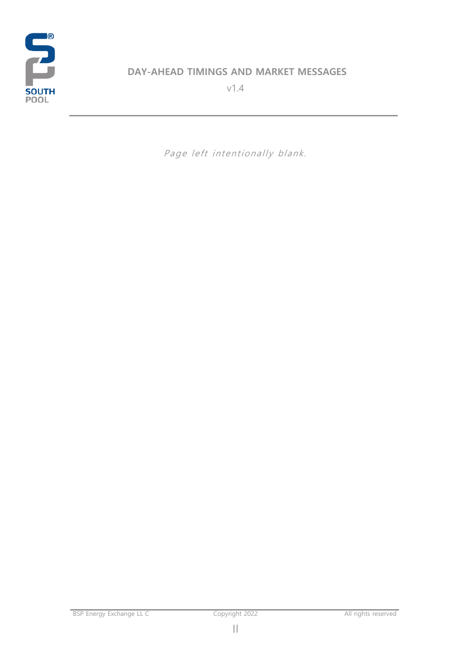

v1.4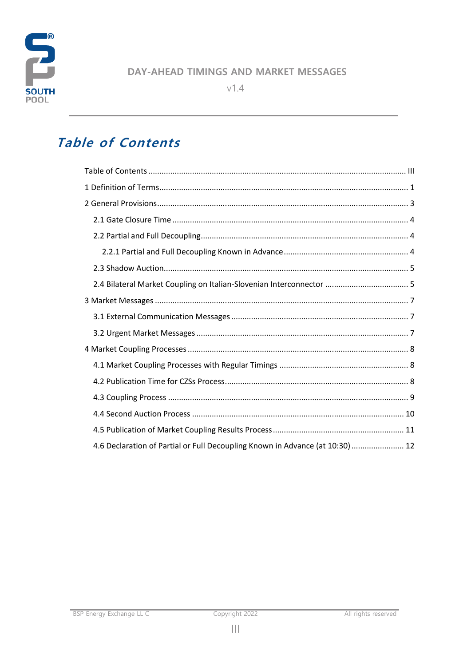

 $V1.4$ 

## <span id="page-2-0"></span>**Table of Contents**

| 4.6 Declaration of Partial or Full Decoupling Known in Advance (at 10:30)  12 |
|-------------------------------------------------------------------------------|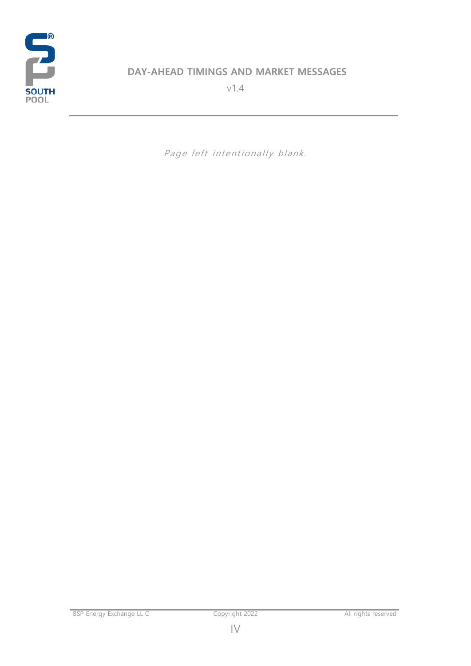

v1.4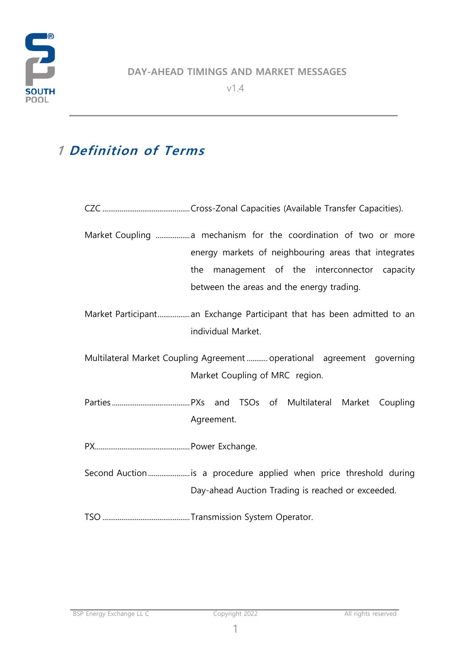

v1.4

## <span id="page-4-0"></span>**1 Definition of Terms**

CZC ..............................................Cross-Zonal Capacities (Available Transfer Capacities).

- Market Coupling ....................... mechanism for the coordination of two or more energy markets of neighbouring areas that integrates the management of the interconnector capacity between the areas and the energy trading.
- Market Participant.................an Exchange Participant that has been admitted to an individual Market.

Multilateral Market Coupling Agreement ........... operational agreement governing Market Coupling of MRC region.

Parties .........................................PXs and TSOs of Multilateral Market Coupling Agreement.

PX..................................................Power Exchange.

Second Auction......................is a procedure applied when price threshold during Day-ahead Auction Trading is reached or exceeded.

TSO ..............................................Transmission System Operator.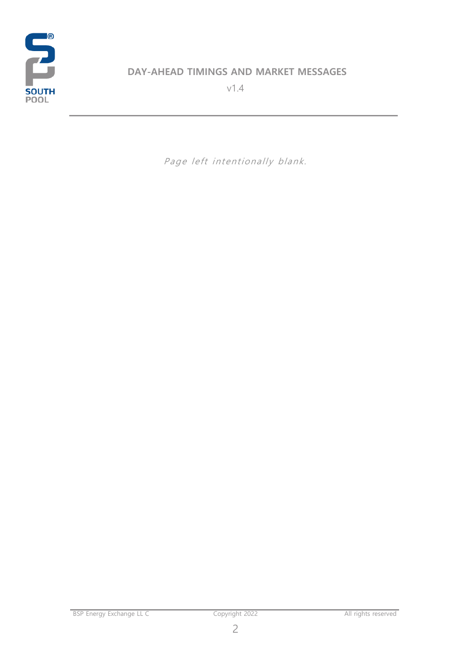

v1.4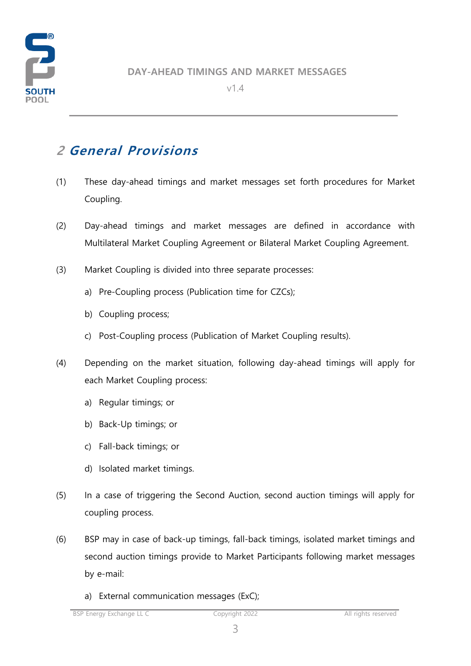

v1.4

## <span id="page-6-0"></span>**2 General Provisions**

- (1) These day-ahead timings and market messages set forth procedures for Market Coupling.
- (2) Day-ahead timings and market messages are defined in accordance with Multilateral Market Coupling Agreement or Bilateral Market Coupling Agreement.
- (3) Market Coupling is divided into three separate processes:
	- a) Pre-Coupling process (Publication time for CZCs);
	- b) Coupling process;
	- c) Post-Coupling process (Publication of Market Coupling results).
- (4) Depending on the market situation, following day-ahead timings will apply for each Market Coupling process:
	- a) Regular timings; or
	- b) Back-Up timings; or
	- c) Fall-back timings; or
	- d) Isolated market timings.
- (5) In a case of triggering the Second Auction, second auction timings will apply for coupling process.
- (6) BSP may in case of back-up timings, fall-back timings, isolated market timings and second auction timings provide to Market Participants following market messages by e-mail:
	- a) External communication messages (ExC);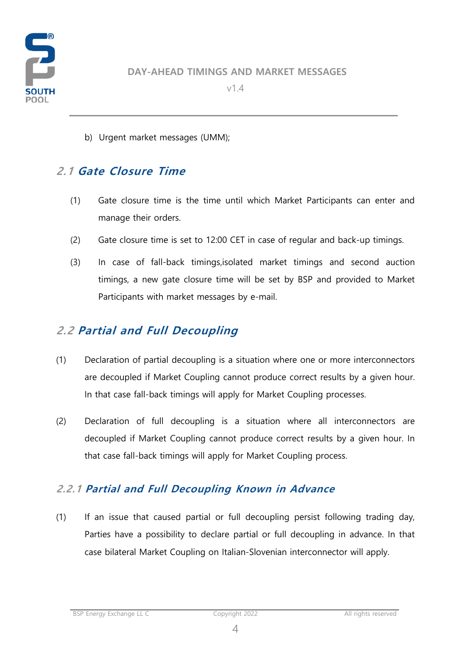

v1.4

b) Urgent market messages (UMM);

#### <span id="page-7-0"></span>**2.1 Gate Closure Time**

- (1) Gate closure time is the time until which Market Participants can enter and manage their orders.
- (2) Gate closure time is set to 12:00 CET in case of regular and back-up timings.
- (3) In case of fall-back timings,isolated market timings and second auction timings, a new gate closure time will be set by BSP and provided to Market Participants with market messages by e-mail.

#### <span id="page-7-1"></span>**2.2 Partial and Full Decoupling**

- (1) Declaration of partial decoupling is a situation where one or more interconnectors are decoupled if Market Coupling cannot produce correct results by a given hour. In that case fall-back timings will apply for Market Coupling processes.
- (2) Declaration of full decoupling is a situation where all interconnectors are decoupled if Market Coupling cannot produce correct results by a given hour. In that case fall-back timings will apply for Market Coupling process.

#### <span id="page-7-2"></span>**2.2.1 Partial and Full Decoupling Known in Advance**

(1) If an issue that caused partial or full decoupling persist following trading day, Parties have a possibility to declare partial or full decoupling in advance. In that case bilateral Market Coupling on Italian-Slovenian interconnector will apply.

BSP Energy Exchange LL C Copyright 2022 All rights reserved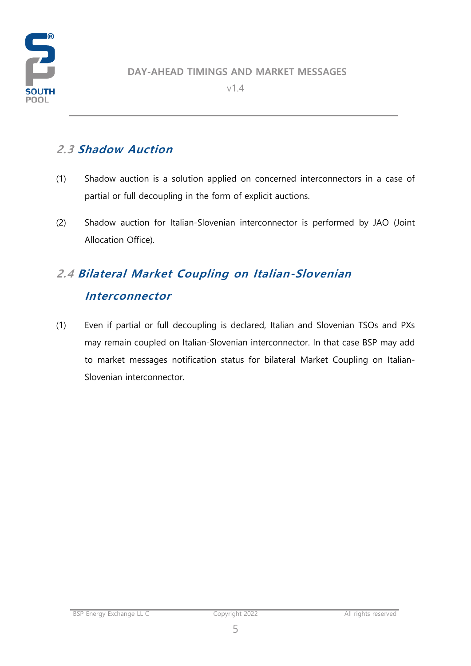

v1.4

#### <span id="page-8-0"></span>**2.3 Shadow Auction**

- (1) Shadow auction is a solution applied on concerned interconnectors in a case of partial or full decoupling in the form of explicit auctions.
- (2) Shadow auction for Italian-Slovenian interconnector is performed by JAO (Joint Allocation Office).

## <span id="page-8-1"></span>**2.4 Bilateral Market Coupling on Italian-Slovenian Interconnector**

(1) Even if partial or full decoupling is declared, Italian and Slovenian TSOs and PXs may remain coupled on Italian-Slovenian interconnector. In that case BSP may add to market messages notification status for bilateral Market Coupling on Italian-Slovenian interconnector.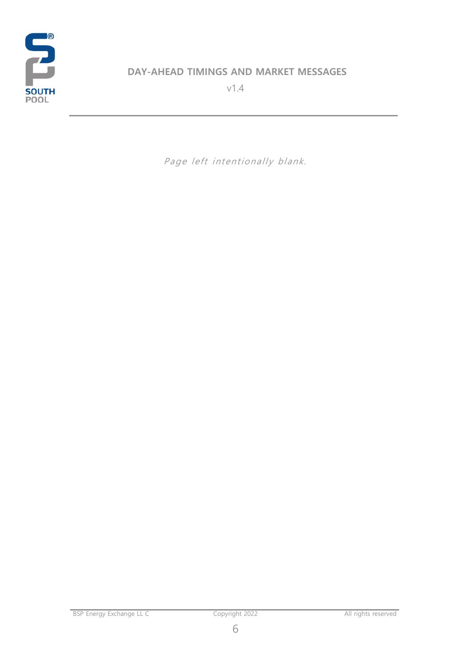

v1.4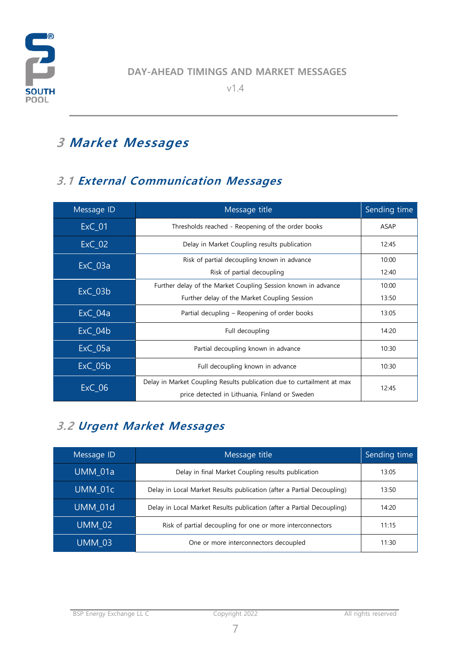

v1.4

## <span id="page-10-0"></span>**3 Market Messages**

## <span id="page-10-1"></span>**3.1 External Communication Messages**

| Message ID    | Message title                                                          | Sending time |  |
|---------------|------------------------------------------------------------------------|--------------|--|
| <b>ExC 01</b> | Thresholds reached - Reopening of the order books                      | ASAP         |  |
| ExC_02        | Delay in Market Coupling results publication                           | 12:45        |  |
| ExC_03a       | Risk of partial decoupling known in advance                            | 10:00        |  |
|               | Risk of partial decoupling                                             | 12:40        |  |
| $ExC_03b$     | Further delay of the Market Coupling Session known in advance          | 10:00        |  |
|               | Further delay of the Market Coupling Session                           | 13:50        |  |
| $ExC_04a$     | Partial decupling – Reopening of order books                           | 13:05        |  |
| ExC 04b       | Full decoupling                                                        | 14:20        |  |
| ExC_05a       | Partial decoupling known in advance                                    | 10:30        |  |
| ExC_05b       | Full decoupling known in advance                                       | 10:30        |  |
| ExC 06        | Delay in Market Coupling Results publication due to curtailment at max | 12:45        |  |
|               | price detected in Lithuania, Finland or Sweden                         |              |  |

## <span id="page-10-2"></span>**3.2 Urgent Market Messages**

| Message ID     | Message title                                                          | Sending time |
|----------------|------------------------------------------------------------------------|--------------|
| <b>UMM 01a</b> | Delay in final Market Coupling results publication                     | 13:05        |
| <b>UMM 01c</b> | Delay in Local Market Results publication (after a Partial Decoupling) | 13:50        |
| <b>UMM 01d</b> | Delay in Local Market Results publication (after a Partial Decoupling) | 14:20        |
| <b>UMM 02</b>  | Risk of partial decoupling for one or more interconnectors             | 11:15        |
| <b>UMM 03</b>  | One or more interconnectors decoupled                                  | 11:30        |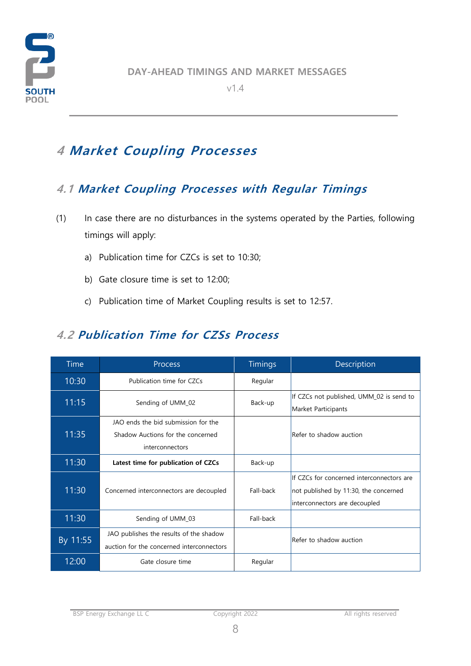

v1.4

## <span id="page-11-0"></span>**4 Market Coupling Processes**

## <span id="page-11-1"></span>**4.1 Market Coupling Processes with Regular Timings**

- (1) In case there are no disturbances in the systems operated by the Parties, following timings will apply:
	- a) Publication time for CZCs is set to 10:30;
	- b) Gate closure time is set to 12:00;
	- c) Publication time of Market Coupling results is set to 12:57.

#### <span id="page-11-2"></span>**4.2 Publication Time for CZSs Process**

| <b>Time</b> | <b>Process</b>                                                                              | <b>Timings</b> | Description                                                                                                         |
|-------------|---------------------------------------------------------------------------------------------|----------------|---------------------------------------------------------------------------------------------------------------------|
| 10:30       | Publication time for CZCs                                                                   | Regular        |                                                                                                                     |
| 11:15       | Sending of UMM 02                                                                           | Back-up        | If CZCs not published, UMM 02 is send to<br>Market Participants                                                     |
| 11:35       | JAO ends the bid submission for the<br>Shadow Auctions for the concerned<br>interconnectors |                | Refer to shadow auction                                                                                             |
| 11:30       | Latest time for publication of CZCs                                                         | Back-up        |                                                                                                                     |
| 11:30       | Concerned interconnectors are decoupled                                                     | Fall-back      | If CZCs for concerned interconnectors are<br>not published by 11:30, the concerned<br>interconnectors are decoupled |
| 11:30       | Sending of UMM 03                                                                           | Fall-back      |                                                                                                                     |
| By 11:55    | JAO publishes the results of the shadow<br>auction for the concerned interconnectors        |                | Refer to shadow auction                                                                                             |
| 12:00       | Gate closure time                                                                           | Regular        |                                                                                                                     |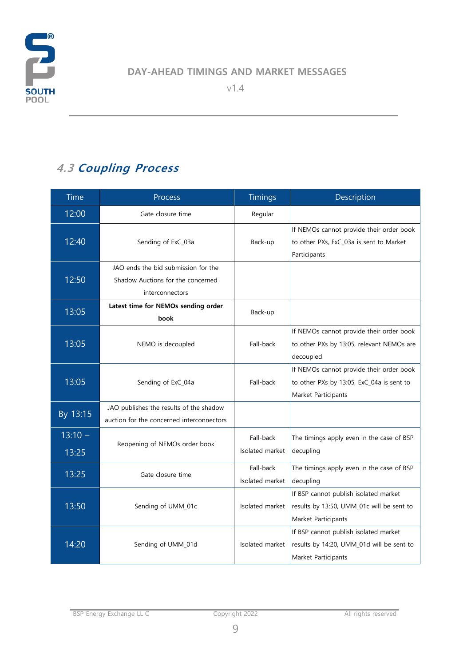

v1.4

## <span id="page-12-0"></span>**4.3 Coupling Process**

| <b>Time</b>        | Process                                                                                     | Timings                      | Description                                                                                                  |
|--------------------|---------------------------------------------------------------------------------------------|------------------------------|--------------------------------------------------------------------------------------------------------------|
| 12:00              | Gate closure time                                                                           | Regular                      |                                                                                                              |
| 12:40              | Sending of ExC_03a                                                                          | Back-up                      | If NEMOs cannot provide their order book<br>to other PXs, ExC_03a is sent to Market<br>Participants          |
| 12:50              | JAO ends the bid submission for the<br>Shadow Auctions for the concerned<br>interconnectors |                              |                                                                                                              |
| 13:05              | Latest time for NEMOs sending order<br>book                                                 | Back-up                      |                                                                                                              |
| 13:05              | NEMO is decoupled                                                                           | Fall-back                    | If NEMOs cannot provide their order book<br>to other PXs by 13:05, relevant NEMOs are<br>decoupled           |
| 13:05              | Sending of ExC_04a                                                                          | Fall-back                    | If NEMOs cannot provide their order book<br>to other PXs by 13:05, ExC_04a is sent to<br>Market Participants |
| By 13:15           | JAO publishes the results of the shadow<br>auction for the concerned interconnectors        |                              |                                                                                                              |
| $13:10 -$<br>13:25 | Reopening of NEMOs order book                                                               | Fall-back<br>Isolated market | The timings apply even in the case of BSP<br>decupling                                                       |
| 13:25              | Gate closure time                                                                           | Fall-back<br>Isolated market | The timings apply even in the case of BSP<br>decupling                                                       |
| 13:50              | Sending of UMM_01c                                                                          | Isolated market              | If BSP cannot publish isolated market<br>results by 13:50, UMM_01c will be sent to<br>Market Participants    |
| 14:20              | Sending of UMM_01d                                                                          | Isolated market              | If BSP cannot publish isolated market<br>results by 14:20, UMM_01d will be sent to<br>Market Participants    |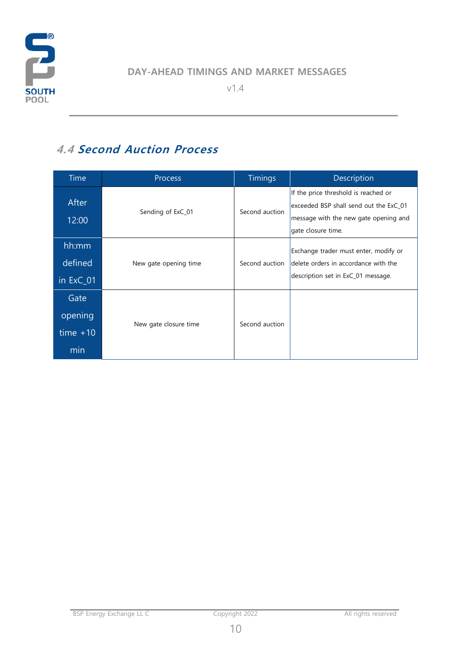

v1.4

## <span id="page-13-0"></span>**4.4 Second Auction Process**

| <b>Time</b>                           | <b>Process</b>        | Timings        | Description                                                                                                                                   |
|---------------------------------------|-----------------------|----------------|-----------------------------------------------------------------------------------------------------------------------------------------------|
| After<br>12:00                        | Sending of ExC_01     | Second auction | If the price threshold is reached or<br>exceeded BSP shall send out the ExC 01<br>message with the new gate opening and<br>gate closure time. |
| hh:mm<br>defined<br>in ExC_01         | New gate opening time | Second auction | Exchange trader must enter, modify or<br>delete orders in accordance with the<br>description set in ExC 01 message.                           |
| Gate<br>opening<br>$time + 10$<br>min | New gate closure time | Second auction |                                                                                                                                               |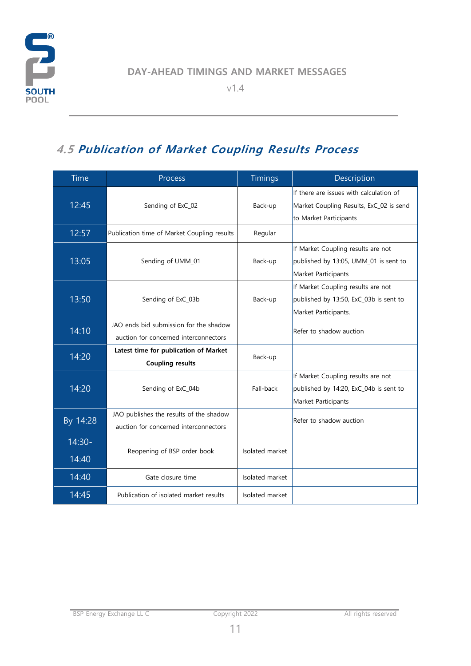

v1.4

## <span id="page-14-0"></span>**4.5 Publication of Market Coupling Results Process**

| Time              | Process                                                                          | Timings         | Description                                                                                                  |
|-------------------|----------------------------------------------------------------------------------|-----------------|--------------------------------------------------------------------------------------------------------------|
| 12:45             | Sending of ExC_02                                                                | Back-up         | If there are issues with calculation of<br>Market Coupling Results, ExC_02 is send<br>to Market Participants |
| 12:57             | Publication time of Market Coupling results                                      | Regular         |                                                                                                              |
| 13:05             | Sending of UMM_01                                                                | Back-up         | If Market Coupling results are not<br>published by 13:05, UMM_01 is sent to<br>Market Participants           |
| 13:50             | Sending of ExC 03b                                                               | Back-up         | If Market Coupling results are not<br>published by 13:50, ExC_03b is sent to<br>Market Participants.         |
| 14:10             | JAO ends bid submission for the shadow<br>auction for concerned interconnectors  |                 | Refer to shadow auction                                                                                      |
| 14:20             | Latest time for publication of Market<br><b>Coupling results</b>                 | Back-up         |                                                                                                              |
| 14:20             | Sending of ExC_04b                                                               | Fall-back       | If Market Coupling results are not<br>published by 14:20, ExC_04b is sent to<br>Market Participants          |
| By 14:28          | JAO publishes the results of the shadow<br>auction for concerned interconnectors |                 | Refer to shadow auction                                                                                      |
| $14:30-$<br>14:40 | Reopening of BSP order book                                                      | Isolated market |                                                                                                              |
| 14:40             | Gate closure time                                                                | Isolated market |                                                                                                              |
| 14:45             | Publication of isolated market results                                           | Isolated market |                                                                                                              |